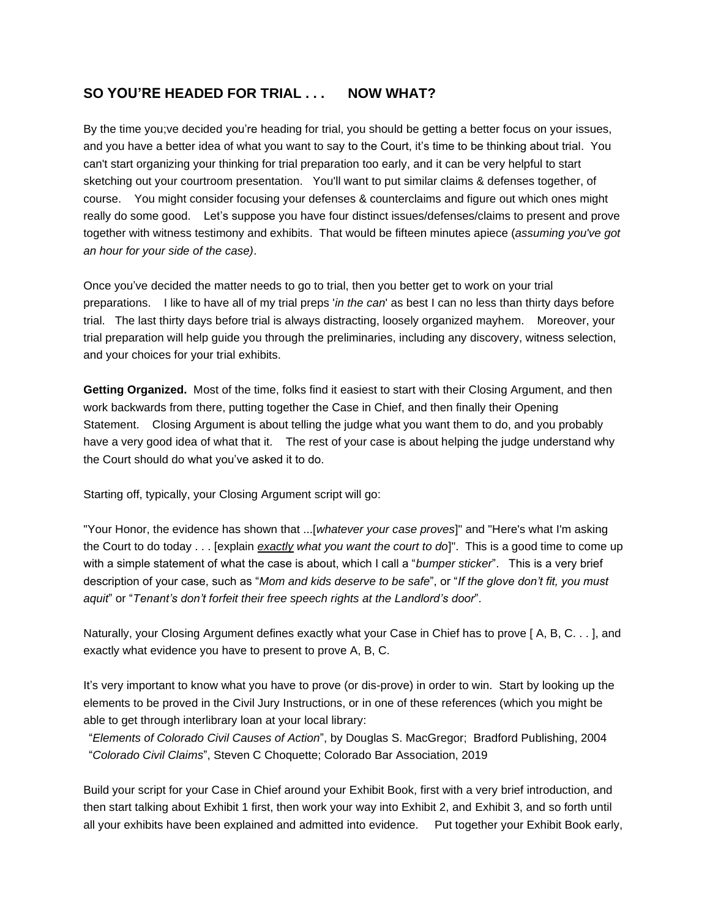## **SO YOU'RE HEADED FOR TRIAL . . . NOW WHAT?**

By the time you;ve decided you're heading for trial, you should be getting a better focus on your issues, and you have a better idea of what you want to say to the Court, it's time to be thinking about trial. You can't start organizing your thinking for trial preparation too early, and it can be very helpful to start sketching out your courtroom presentation. You'll want to put similar claims & defenses together, of course. You might consider focusing your defenses & counterclaims and figure out which ones might really do some good. Let's suppose you have four distinct issues/defenses/claims to present and prove together with witness testimony and exhibits. That would be fifteen minutes apiece (*assuming you've got an hour for your side of the case)*.

Once you've decided the matter needs to go to trial, then you better get to work on your trial preparations. I like to have all of my trial preps '*in the can*' as best I can no less than thirty days before trial. The last thirty days before trial is always distracting, loosely organized mayhem. Moreover, your trial preparation will help guide you through the preliminaries, including any discovery, witness selection, and your choices for your trial exhibits.

**Getting Organized.** Most of the time, folks find it easiest to start with their Closing Argument, and then work backwards from there, putting together the Case in Chief, and then finally their Opening Statement. Closing Argument is about telling the judge what you want them to do, and you probably have a very good idea of what that it. The rest of your case is about helping the judge understand why the Court should do what you've asked it to do.

Starting off, typically, your Closing Argument script will go:

"Your Honor, the evidence has shown that ...[*whatever your case proves*]" and "Here's what I'm asking the Court to do today . . . [explain *exactly what you want the court to do*]". This is a good time to come up with a simple statement of what the case is about, which I call a "*bumper sticker*". This is a very brief description of your case, such as "*Mom and kids deserve to be safe*", or "*If the glove don't fit, you must aquit*" or "*Tenant's don't forfeit their free speech rights at the Landlord's door*".

Naturally, your Closing Argument defines exactly what your Case in Chief has to prove [A, B, C. . . ], and exactly what evidence you have to present to prove A, B, C.

It's very important to know what you have to prove (or dis-prove) in order to win. Start by looking up the elements to be proved in the Civil Jury Instructions, or in one of these references (which you might be able to get through interlibrary loan at your local library:

"*Elements of Colorado Civil Causes of Action*", by Douglas S. MacGregor; Bradford Publishing, 2004 "*Colorado Civil Claims*", Steven C Choquette; Colorado Bar Association, 2019

Build your script for your Case in Chief around your Exhibit Book, first with a very brief introduction, and then start talking about Exhibit 1 first, then work your way into Exhibit 2, and Exhibit 3, and so forth until all your exhibits have been explained and admitted into evidence. Put together your Exhibit Book early,